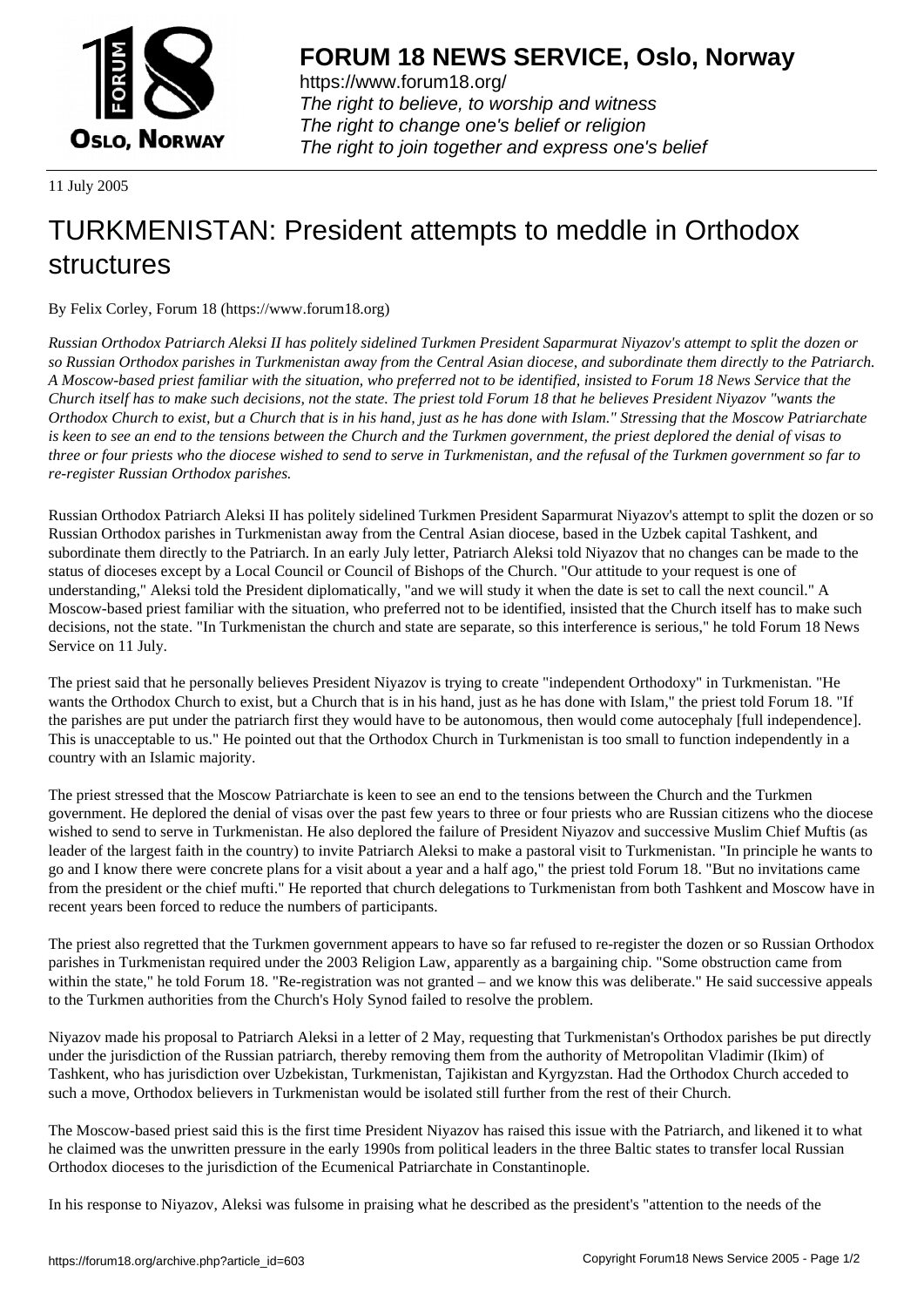

https://www.forum18.org/ The right to believe, to worship and witness The right to change one's belief or religion [The right to join together a](https://www.forum18.org/)nd express one's belief

11 July 2005

## [TURKMENISTA](https://www.forum18.org)N: President attempts to meddle in Orthodox structures

By Felix Corley, Forum 18 (https://www.forum18.org)

*Russian Orthodox Patriarch Aleksi II has politely sidelined Turkmen President Saparmurat Niyazov's attempt to split the dozen or so Russian Orthodox parishes in Turkmenistan away from the Central Asian diocese, and subordinate them directly to the Patriarch. A Moscow-based priest familiar with the situation, who preferred not to be identified, insisted to Forum 18 News Service that the Church itself has to make such decisions, not the state. The priest told Forum 18 that he believes President Niyazov "wants the Orthodox Church to exist, but a Church that is in his hand, just as he has done with Islam." Stressing that the Moscow Patriarchate is keen to see an end to the tensions between the Church and the Turkmen government, the priest deplored the denial of visas to three or four priests who the diocese wished to send to serve in Turkmenistan, and the refusal of the Turkmen government so far to re-register Russian Orthodox parishes.*

Russian Orthodox Patriarch Aleksi II has politely sidelined Turkmen President Saparmurat Niyazov's attempt to split the dozen or so Russian Orthodox parishes in Turkmenistan away from the Central Asian diocese, based in the Uzbek capital Tashkent, and subordinate them directly to the Patriarch. In an early July letter, Patriarch Aleksi told Niyazov that no changes can be made to the status of dioceses except by a Local Council or Council of Bishops of the Church. "Our attitude to your request is one of understanding," Aleksi told the President diplomatically, "and we will study it when the date is set to call the next council." A Moscow-based priest familiar with the situation, who preferred not to be identified, insisted that the Church itself has to make such decisions, not the state. "In Turkmenistan the church and state are separate, so this interference is serious," he told Forum 18 News Service on 11 July.

The priest said that he personally believes President Niyazov is trying to create "independent Orthodoxy" in Turkmenistan. "He wants the Orthodox Church to exist, but a Church that is in his hand, just as he has done with Islam," the priest told Forum 18. "If the parishes are put under the patriarch first they would have to be autonomous, then would come autocephaly [full independence]. This is unacceptable to us." He pointed out that the Orthodox Church in Turkmenistan is too small to function independently in a country with an Islamic majority.

The priest stressed that the Moscow Patriarchate is keen to see an end to the tensions between the Church and the Turkmen government. He deplored the denial of visas over the past few years to three or four priests who are Russian citizens who the diocese wished to send to serve in Turkmenistan. He also deplored the failure of President Niyazov and successive Muslim Chief Muftis (as leader of the largest faith in the country) to invite Patriarch Aleksi to make a pastoral visit to Turkmenistan. "In principle he wants to go and I know there were concrete plans for a visit about a year and a half ago," the priest told Forum 18. "But no invitations came from the president or the chief mufti." He reported that church delegations to Turkmenistan from both Tashkent and Moscow have in recent years been forced to reduce the numbers of participants.

The priest also regretted that the Turkmen government appears to have so far refused to re-register the dozen or so Russian Orthodox parishes in Turkmenistan required under the 2003 Religion Law, apparently as a bargaining chip. "Some obstruction came from within the state," he told Forum 18. "Re-registration was not granted – and we know this was deliberate." He said successive appeals to the Turkmen authorities from the Church's Holy Synod failed to resolve the problem.

Niyazov made his proposal to Patriarch Aleksi in a letter of 2 May, requesting that Turkmenistan's Orthodox parishes be put directly under the jurisdiction of the Russian patriarch, thereby removing them from the authority of Metropolitan Vladimir (Ikim) of Tashkent, who has jurisdiction over Uzbekistan, Turkmenistan, Tajikistan and Kyrgyzstan. Had the Orthodox Church acceded to such a move, Orthodox believers in Turkmenistan would be isolated still further from the rest of their Church.

The Moscow-based priest said this is the first time President Niyazov has raised this issue with the Patriarch, and likened it to what he claimed was the unwritten pressure in the early 1990s from political leaders in the three Baltic states to transfer local Russian Orthodox dioceses to the jurisdiction of the Ecumenical Patriarchate in Constantinople.

In his response to Niyazov, Aleksi was fulsome in praising what he described as the president's "attention to the needs of the